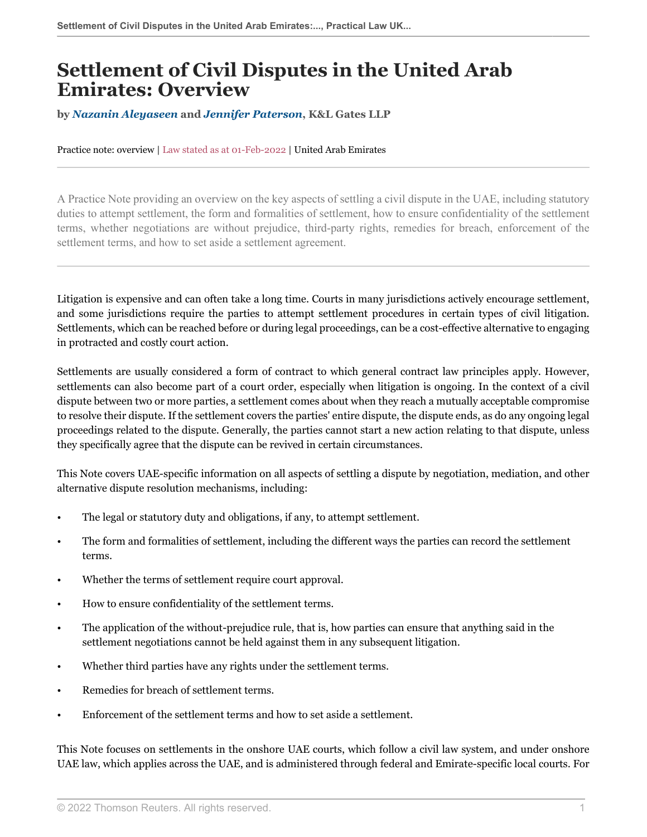# **Settlement of Civil Disputes in the United Arab Emirates: Overview**

**by** *[Nazanin Aleyaseen](https://www.klgates.com/Nazanin-Aleyaseen )* **and** *[Jennifer Paterson](https://www.klgates.com/Jennifer-Garn )***, K&L Gates LLP**

Practice note: overview | Law stated as at 01-Feb-2022 | United Arab Emirates

A Practice Note providing an overview on the key aspects of settling a civil dispute in the UAE, including statutory duties to attempt settlement, the form and formalities of settlement, how to ensure confidentiality of the settlement terms, whether negotiations are without prejudice, third-party rights, remedies for breach, enforcement of the settlement terms, and how to set aside a settlement agreement.

Litigation is expensive and can often take a long time. Courts in many jurisdictions actively encourage settlement, and some jurisdictions require the parties to attempt settlement procedures in certain types of civil litigation. Settlements, which can be reached before or during legal proceedings, can be a cost-effective alternative to engaging in protracted and costly court action.

Settlements are usually considered a form of contract to which general contract law principles apply. However, settlements can also become part of a court order, especially when litigation is ongoing. In the context of a civil dispute between two or more parties, a settlement comes about when they reach a mutually acceptable compromise to resolve their dispute. If the settlement covers the parties' entire dispute, the dispute ends, as do any ongoing legal proceedings related to the dispute. Generally, the parties cannot start a new action relating to that dispute, unless they specifically agree that the dispute can be revived in certain circumstances.

This Note covers UAE-specific information on all aspects of settling a dispute by negotiation, mediation, and other alternative dispute resolution mechanisms, including:

- The legal or statutory duty and obligations, if any, to attempt settlement.
- The form and formalities of settlement, including the different ways the parties can record the settlement terms.
- Whether the terms of settlement require court approval.
- How to ensure confidentiality of the settlement terms.
- The application of the without-prejudice rule, that is, how parties can ensure that anything said in the settlement negotiations cannot be held against them in any subsequent litigation.
- Whether third parties have any rights under the settlement terms.
- Remedies for breach of settlement terms.
- Enforcement of the settlement terms and how to set aside a settlement.

This Note focuses on settlements in the onshore UAE courts, which follow a civil law system, and under onshore UAE law, which applies across the UAE, and is administered through federal and Emirate-specific local courts. For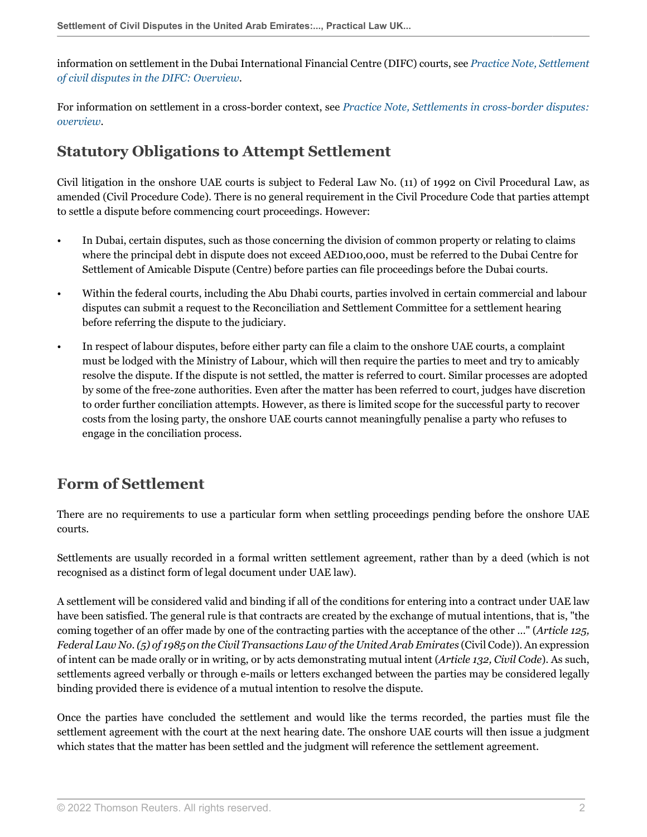information on settlement in the Dubai International Financial Centre (DIFC) courts, see *[Practice Note, Settlement](http://uk.practicallaw.thomsonreuters.com/w-033-7818?originationContext=document&vr=3.0&rs=PLUK1.0&transitionType=DocumentItem&contextData=(sc.Default)) [of civil disputes in the DIFC: Overview](http://uk.practicallaw.thomsonreuters.com/w-033-7818?originationContext=document&vr=3.0&rs=PLUK1.0&transitionType=DocumentItem&contextData=(sc.Default))*.

For information on settlement in a cross-border context, see *[Practice Note, Settlements in cross-border disputes:](http://uk.practicallaw.thomsonreuters.com/w-005-0922?originationContext=document&vr=3.0&rs=PLUK1.0&transitionType=DocumentItem&contextData=(sc.Default)) [overview](http://uk.practicallaw.thomsonreuters.com/w-005-0922?originationContext=document&vr=3.0&rs=PLUK1.0&transitionType=DocumentItem&contextData=(sc.Default))*.

#### **Statutory Obligations to Attempt Settlement**

Civil litigation in the onshore UAE courts is subject to Federal Law No. (11) of 1992 on Civil Procedural Law, as amended (Civil Procedure Code). There is no general requirement in the Civil Procedure Code that parties attempt to settle a dispute before commencing court proceedings. However:

- In Dubai, certain disputes, such as those concerning the division of common property or relating to claims where the principal debt in dispute does not exceed AED100,000, must be referred to the Dubai Centre for Settlement of Amicable Dispute (Centre) before parties can file proceedings before the Dubai courts.
- Within the federal courts, including the Abu Dhabi courts, parties involved in certain commercial and labour disputes can submit a request to the Reconciliation and Settlement Committee for a settlement hearing before referring the dispute to the judiciary.
- In respect of labour disputes, before either party can file a claim to the onshore UAE courts, a complaint must be lodged with the Ministry of Labour, which will then require the parties to meet and try to amicably resolve the dispute. If the dispute is not settled, the matter is referred to court. Similar processes are adopted by some of the free-zone authorities. Even after the matter has been referred to court, judges have discretion to order further conciliation attempts. However, as there is limited scope for the successful party to recover costs from the losing party, the onshore UAE courts cannot meaningfully penalise a party who refuses to engage in the conciliation process.

## <span id="page-1-0"></span>**Form of Settlement**

There are no requirements to use a particular form when settling proceedings pending before the onshore UAE courts.

Settlements are usually recorded in a formal written settlement agreement, rather than by a deed (which is not recognised as a distinct form of legal document under UAE law).

A settlement will be considered valid and binding if all of the conditions for entering into a contract under UAE law have been satisfied. The general rule is that contracts are created by the exchange of mutual intentions, that is, "the coming together of an offer made by one of the contracting parties with the acceptance of the other …" (*Article 125, Federal Law No.* (5) of 1985 on the Civil Transactions Law of the United Arab Emirates (Civil Code)). An expression of intent can be made orally or in writing, or by acts demonstrating mutual intent (*Article 132, Civil Code*). As such, settlements agreed verbally or through e-mails or letters exchanged between the parties may be considered legally binding provided there is evidence of a mutual intention to resolve the dispute.

Once the parties have concluded the settlement and would like the terms recorded, the parties must file the settlement agreement with the court at the next hearing date. The onshore UAE courts will then issue a judgment which states that the matter has been settled and the judgment will reference the settlement agreement.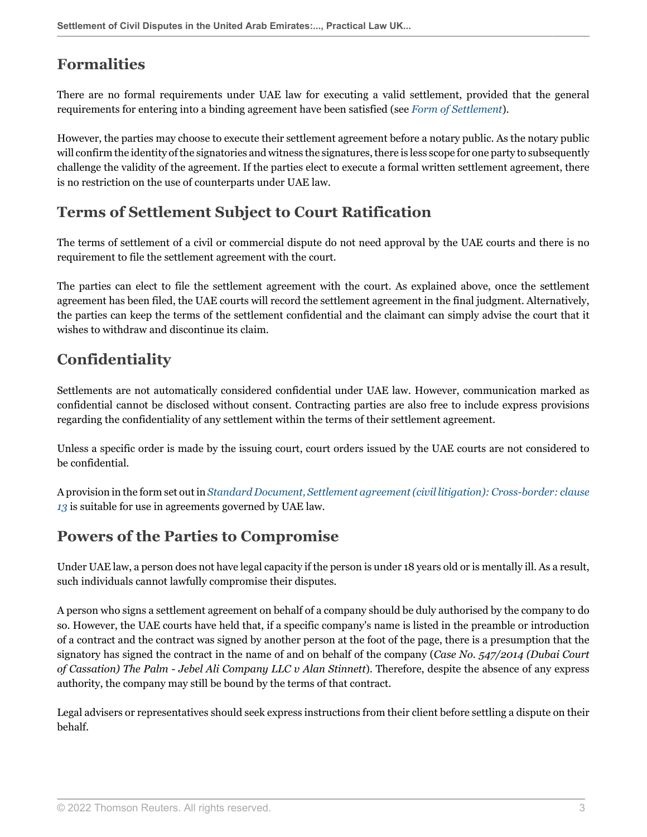### **Formalities**

There are no formal requirements under UAE law for executing a valid settlement, provided that the general requirements for entering into a binding agreement have been satisfied (see *[Form of Settlement](#page-1-0)*).

However, the parties may choose to execute their settlement agreement before a notary public. As the notary public will confirm the identity of the signatories and witness the signatures, there is less scope for one party to subsequently challenge the validity of the agreement. If the parties elect to execute a formal written settlement agreement, there is no restriction on the use of counterparts under UAE law.

#### **Terms of Settlement Subject to Court Ratification**

The terms of settlement of a civil or commercial dispute do not need approval by the UAE courts and there is no requirement to file the settlement agreement with the court.

The parties can elect to file the settlement agreement with the court. As explained above, once the settlement agreement has been filed, the UAE courts will record the settlement agreement in the final judgment. Alternatively, the parties can keep the terms of the settlement confidential and the claimant can simply advise the court that it wishes to withdraw and discontinue its claim.

## <span id="page-2-0"></span>**Confidentiality**

Settlements are not automatically considered confidential under UAE law. However, communication marked as confidential cannot be disclosed without consent. Contracting parties are also free to include express provisions regarding the confidentiality of any settlement within the terms of their settlement agreement.

Unless a specific order is made by the issuing court, court orders issued by the UAE courts are not considered to be confidential.

A provision in the form set out in *[Standard Document, Settlement agreement \(civil litigation\): Cross-border: clause](http://uk.practicallaw.thomsonreuters.com/w-005-4067?originationContext=document&vr=3.0&rs=PLUK1.0&transitionType=DocumentItem&contextData=(sc.Default)#co_anchor_a587429) [13](http://uk.practicallaw.thomsonreuters.com/w-005-4067?originationContext=document&vr=3.0&rs=PLUK1.0&transitionType=DocumentItem&contextData=(sc.Default)#co_anchor_a587429)* is suitable for use in agreements governed by UAE law.

#### **Powers of the Parties to Compromise**

Under UAE law, a person does not have legal capacity if the person is under 18 years old or is mentally ill. As a result, such individuals cannot lawfully compromise their disputes.

A person who signs a settlement agreement on behalf of a company should be duly authorised by the company to do so. However, the UAE courts have held that, if a specific company's name is listed in the preamble or introduction of a contract and the contract was signed by another person at the foot of the page, there is a presumption that the signatory has signed the contract in the name of and on behalf of the company (*Case No. 547/2014 (Dubai Court of Cassation) The Palm - Jebel Ali Company LLC v Alan Stinnett*). Therefore, despite the absence of any express authority, the company may still be bound by the terms of that contract.

Legal advisers or representatives should seek express instructions from their client before settling a dispute on their behalf.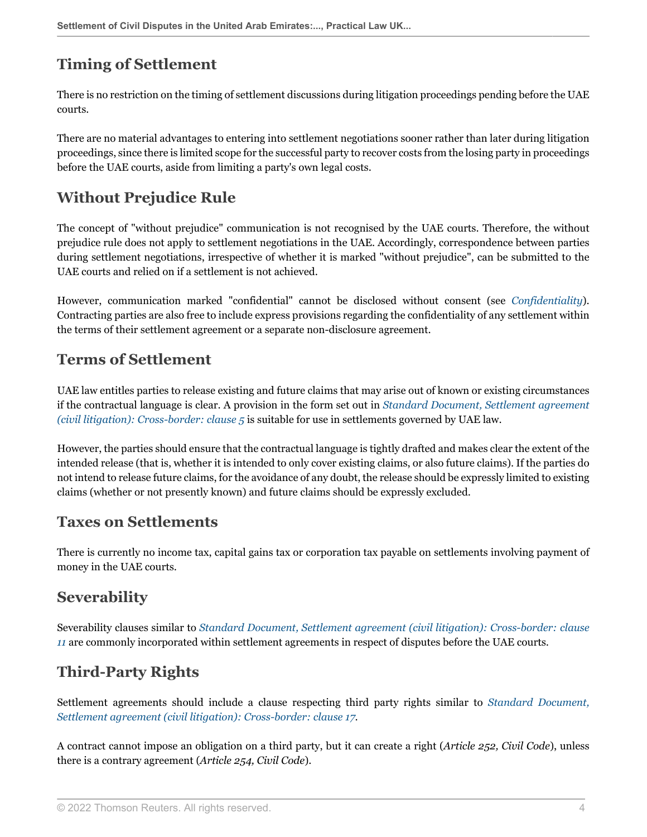## **Timing of Settlement**

There is no restriction on the timing of settlement discussions during litigation proceedings pending before the UAE courts.

There are no material advantages to entering into settlement negotiations sooner rather than later during litigation proceedings, since there is limited scope for the successful party to recover costs from the losing party in proceedings before the UAE courts, aside from limiting a party's own legal costs.

## **Without Prejudice Rule**

The concept of "without prejudice" communication is not recognised by the UAE courts. Therefore, the without prejudice rule does not apply to settlement negotiations in the UAE. Accordingly, correspondence between parties during settlement negotiations, irrespective of whether it is marked "without prejudice", can be submitted to the UAE courts and relied on if a settlement is not achieved.

However, communication marked "confidential" cannot be disclosed without consent (see *[Confidentiality](#page-2-0)*). Contracting parties are also free to include express provisions regarding the confidentiality of any settlement within the terms of their settlement agreement or a separate non-disclosure agreement.

#### **Terms of Settlement**

UAE law entitles parties to release existing and future claims that may arise out of known or existing circumstances if the contractual language is clear. A provision in the form set out in *[Standard Document, Settlement agreement](http://uk.practicallaw.thomsonreuters.com/w-005-4067?originationContext=document&vr=3.0&rs=PLUK1.0&transitionType=DocumentItem&contextData=(sc.Default)#co_anchor_a514799) [\(civil litigation\): Cross-border: clause 5](http://uk.practicallaw.thomsonreuters.com/w-005-4067?originationContext=document&vr=3.0&rs=PLUK1.0&transitionType=DocumentItem&contextData=(sc.Default)#co_anchor_a514799)* is suitable for use in settlements governed by UAE law.

However, the parties should ensure that the contractual language is tightly drafted and makes clear the extent of the intended release (that is, whether it is intended to only cover existing claims, or also future claims). If the parties do not intend to release future claims, for the avoidance of any doubt, the release should be expressly limited to existing claims (whether or not presently known) and future claims should be expressly excluded.

#### **Taxes on Settlements**

There is currently no income tax, capital gains tax or corporation tax payable on settlements involving payment of money in the UAE courts.

## **Severability**

Severability clauses similar to *[Standard Document, Settlement agreement \(civil litigation\): Cross-border: clause](http://uk.practicallaw.thomsonreuters.com/w-005-4067?originationContext=document&vr=3.0&rs=PLUK1.0&transitionType=DocumentItem&contextData=(sc.Default)#co_anchor_a620467) [11](http://uk.practicallaw.thomsonreuters.com/w-005-4067?originationContext=document&vr=3.0&rs=PLUK1.0&transitionType=DocumentItem&contextData=(sc.Default)#co_anchor_a620467)* are commonly incorporated within settlement agreements in respect of disputes before the UAE courts.

## **Third-Party Rights**

Settlement agreements should include a clause respecting third party rights similar to *[Standard Document,](http://uk.practicallaw.thomsonreuters.com/w-005-4067?originationContext=document&vr=3.0&rs=PLUK1.0&transitionType=DocumentItem&contextData=(sc.Default)#co_anchor_a466023) [Settlement agreement \(civil litigation\): Cross-border: clause 17](http://uk.practicallaw.thomsonreuters.com/w-005-4067?originationContext=document&vr=3.0&rs=PLUK1.0&transitionType=DocumentItem&contextData=(sc.Default)#co_anchor_a466023)*.

A contract cannot impose an obligation on a third party, but it can create a right (*Article 252, Civil Code*), unless there is a contrary agreement (*Article 254, Civil Code*).